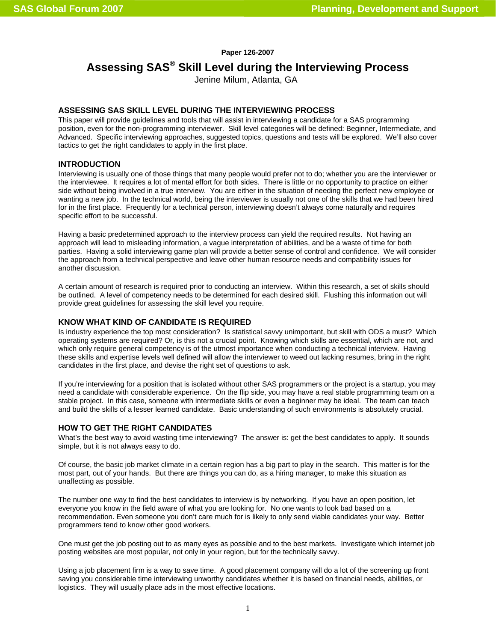## **Paper 126-2007**

# **Assessing SAS® Skill Level during the Interviewing Process**

Jenine Milum, Atlanta, GA

# **ASSESSING SAS SKILL LEVEL DURING THE INTERVIEWING PROCESS**

This paper will provide guidelines and tools that will assist in interviewing a candidate for a SAS programming position, even for the non-programming interviewer. Skill level categories will be defined: Beginner, Intermediate, and Advanced. Specific interviewing approaches, suggested topics, questions and tests will be explored. We'll also cover tactics to get the right candidates to apply in the first place.

# **INTRODUCTION**

Interviewing is usually one of those things that many people would prefer not to do; whether you are the interviewer or the interviewee. It requires a lot of mental effort for both sides. There is little or no opportunity to practice on either side without being involved in a true interview. You are either in the situation of needing the perfect new employee or wanting a new job. In the technical world, being the interviewer is usually not one of the skills that we had been hired for in the first place. Frequently for a technical person, interviewing doesn't always come naturally and requires specific effort to be successful.

Having a basic predetermined approach to the interview process can yield the required results. Not having an approach will lead to misleading information, a vague interpretation of abilities, and be a waste of time for both parties. Having a solid interviewing game plan will provide a better sense of control and confidence. We will consider the approach from a technical perspective and leave other human resource needs and compatibility issues for another discussion.

A certain amount of research is required prior to conducting an interview. Within this research, a set of skills should be outlined. A level of competency needs to be determined for each desired skill. Flushing this information out will provide great guidelines for assessing the skill level you require.

# **KNOW WHAT KIND OF CANDIDATE IS REQUIRED**

Is industry experience the top most consideration? Is statistical savvy unimportant, but skill with ODS a must? Which operating systems are required? Or, is this not a crucial point. Knowing which skills are essential, which are not, and which only require general competency is of the utmost importance when conducting a technical interview. Having these skills and expertise levels well defined will allow the interviewer to weed out lacking resumes, bring in the right candidates in the first place, and devise the right set of questions to ask.

If you're interviewing for a position that is isolated without other SAS programmers or the project is a startup, you may need a candidate with considerable experience. On the flip side, you may have a real stable programming team on a stable project. In this case, someone with intermediate skills or even a beginner may be ideal. The team can teach and build the skills of a lesser learned candidate. Basic understanding of such environments is absolutely crucial.

## **HOW TO GET THE RIGHT CANDIDATES**

What's the best way to avoid wasting time interviewing? The answer is: get the best candidates to apply. It sounds simple, but it is not always easy to do.

Of course, the basic job market climate in a certain region has a big part to play in the search. This matter is for the most part, out of your hands. But there are things you can do, as a hiring manager, to make this situation as unaffecting as possible.

The number one way to find the best candidates to interview is by networking. If you have an open position, let everyone you know in the field aware of what you are looking for. No one wants to look bad based on a recommendation. Even someone you don't care much for is likely to only send viable candidates your way. Better programmers tend to know other good workers.

One must get the job posting out to as many eyes as possible and to the best markets. Investigate which internet job posting websites are most popular, not only in your region, but for the technically savvy.

Using a job placement firm is a way to save time. A good placement company will do a lot of the screening up front saving you considerable time interviewing unworthy candidates whether it is based on financial needs, abilities, or logistics. They will usually place ads in the most effective locations.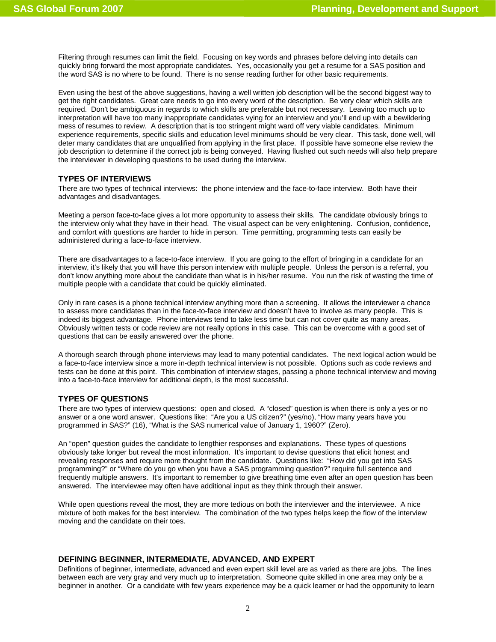Filtering through resumes can limit the field. Focusing on key words and phrases before delving into details can quickly bring forward the most appropriate candidates. Yes, occasionally you get a resume for a SAS position and the word SAS is no where to be found. There is no sense reading further for other basic requirements.

Even using the best of the above suggestions, having a well written job description will be the second biggest way to get the right candidates. Great care needs to go into every word of the description. Be very clear which skills are required. Don't be ambiguous in regards to which skills are preferable but not necessary. Leaving too much up to interpretation will have too many inappropriate candidates vying for an interview and you'll end up with a bewildering mess of resumes to review. A description that is too stringent might ward off very viable candidates. Minimum experience requirements, specific skills and education level minimums should be very clear. This task, done well, will deter many candidates that are unqualified from applying in the first place. If possible have someone else review the job description to determine if the correct job is being conveyed. Having flushed out such needs will also help prepare the interviewer in developing questions to be used during the interview.

# **TYPES OF INTERVIEWS**

There are two types of technical interviews: the phone interview and the face-to-face interview. Both have their advantages and disadvantages.

Meeting a person face-to-face gives a lot more opportunity to assess their skills. The candidate obviously brings to the interview only what they have in their head. The visual aspect can be very enlightening. Confusion, confidence, and comfort with questions are harder to hide in person. Time permitting, programming tests can easily be administered during a face-to-face interview.

There are disadvantages to a face-to-face interview. If you are going to the effort of bringing in a candidate for an interview, it's likely that you will have this person interview with multiple people. Unless the person is a referral, you don't know anything more about the candidate than what is in his/her resume. You run the risk of wasting the time of multiple people with a candidate that could be quickly eliminated.

Only in rare cases is a phone technical interview anything more than a screening. It allows the interviewer a chance to assess more candidates than in the face-to-face interview and doesn't have to involve as many people. This is indeed its biggest advantage. Phone interviews tend to take less time but can not cover quite as many areas. Obviously written tests or code review are not really options in this case. This can be overcome with a good set of questions that can be easily answered over the phone.

A thorough search through phone interviews may lead to many potential candidates. The next logical action would be a face-to-face interview since a more in-depth technical interview is not possible. Options such as code reviews and tests can be done at this point. This combination of interview stages, passing a phone technical interview and moving into a face-to-face interview for additional depth, is the most successful.

# **TYPES OF QUESTIONS**

There are two types of interview questions: open and closed. A "closed" question is when there is only a yes or no answer or a one word answer. Questions like: "Are you a US citizen?" (yes/no), "How many years have you programmed in SAS?" (16), "What is the SAS numerical value of January 1, 1960?" (Zero).

An "open" question guides the candidate to lengthier responses and explanations. These types of questions obviously take longer but reveal the most information. It's important to devise questions that elicit honest and revealing responses and require more thought from the candidate. Questions like: "How did you get into SAS programming?" or "Where do you go when you have a SAS programming question?" require full sentence and frequently multiple answers. It's important to remember to give breathing time even after an open question has been answered. The interviewee may often have additional input as they think through their answer.

While open questions reveal the most, they are more tedious on both the interviewer and the interviewee. A nice mixture of both makes for the best interview. The combination of the two types helps keep the flow of the interview moving and the candidate on their toes.

# **DEFINING BEGINNER, INTERMEDIATE, ADVANCED, AND EXPERT**

Definitions of beginner, intermediate, advanced and even expert skill level are as varied as there are jobs. The lines between each are very gray and very much up to interpretation. Someone quite skilled in one area may only be a beginner in another. Or a candidate with few years experience may be a quick learner or had the opportunity to learn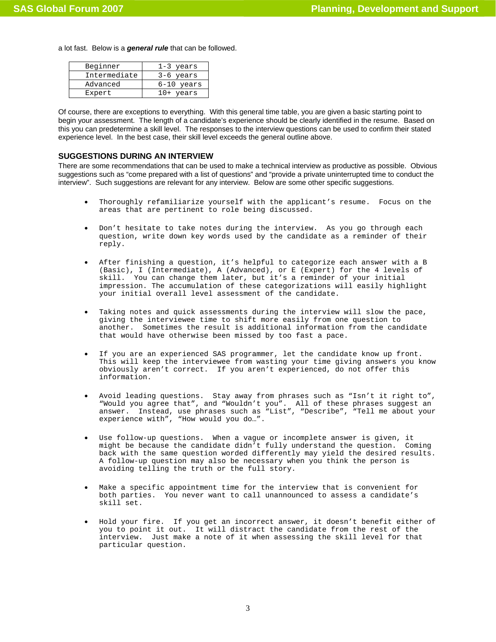a lot fast. Below is a *general rule* that can be followed.

| Beginner     | 1-3 years    |
|--------------|--------------|
| Intermediate | $3-6$ years  |
| Advanced     | $6-10$ years |
| Expert       | $10+$ years  |

Of course, there are exceptions to everything. With this general time table, you are given a basic starting point to begin your assessment. The length of a candidate's experience should be clearly identified in the resume. Based on this you can predetermine a skill level. The responses to the interview questions can be used to confirm their stated experience level. In the best case, their skill level exceeds the general outline above.

# **SUGGESTIONS DURING AN INTERVIEW**

There are some recommendations that can be used to make a technical interview as productive as possible. Obvious suggestions such as "come prepared with a list of questions" and "provide a private uninterrupted time to conduct the interview". Such suggestions are relevant for any interview. Below are some other specific suggestions.

- Thoroughly refamiliarize yourself with the applicant's resume. Focus on the areas that are pertinent to role being discussed.
- Don't hesitate to take notes during the interview. As you go through each question, write down key words used by the candidate as a reminder of their reply.
- After finishing a question, it's helpful to categorize each answer with a B (Basic), I (Intermediate), A (Advanced), or E (Expert) for the 4 levels of skill. You can change them later, but it's a reminder of your initial impression. The accumulation of these categorizations will easily highlight your initial overall level assessment of the candidate.
- Taking notes and quick assessments during the interview will slow the pace, giving the interviewee time to shift more easily from one question to another. Sometimes the result is additional information from the candidate that would have otherwise been missed by too fast a pace.
- If you are an experienced SAS programmer, let the candidate know up front. This will keep the interviewee from wasting your time giving answers you know obviously aren't correct. If you aren't experienced, do not offer this information.
- Avoid leading questions. Stay away from phrases such as "Isn't it right to", "Would you agree that", and "Wouldn't you". All of these phrases suggest an answer. Instead, use phrases such as "List", "Describe", "Tell me about your experience with", "How would you do…".
- Use follow-up questions. When a vague or incomplete answer is given, it might be because the candidate didn't fully understand the question. Coming back with the same question worded differently may yield the desired results. A follow-up question may also be necessary when you think the person is avoiding telling the truth or the full story.
- Make a specific appointment time for the interview that is convenient for both parties. You never want to call unannounced to assess a candidate's skill set.
- Hold your fire. If you get an incorrect answer, it doesn't benefit either of you to point it out. It will distract the candidate from the rest of the interview. Just make a note of it when assessing the skill level for that particular question.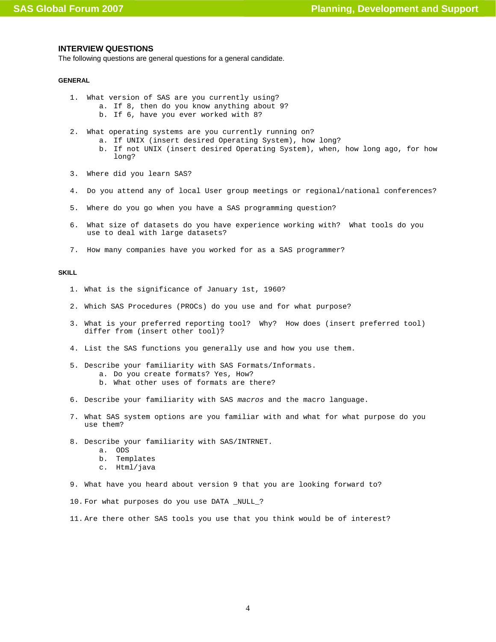## **INTERVIEW QUESTIONS**

The following questions are general questions for a general candidate.

## **GENERAL**

- 1. What version of SAS are you currently using?
	- a. If 8, then do you know anything about 9?
	- b. If 6, have you ever worked with 8?
- 2. What operating systems are you currently running on?
	- a. If UNIX (insert desired Operating System), how long?
		- b. If not UNIX (insert desired Operating System), when, how long ago, for how long?
- 3. Where did you learn SAS?
- 4. Do you attend any of local User group meetings or regional/national conferences?
- 5. Where do you go when you have a SAS programming question?
- 6. What size of datasets do you have experience working with? What tools do you use to deal with large datasets?
- 7. How many companies have you worked for as a SAS programmer?

## **SKILL**

- 1. What is the significance of January 1st, 1960?
- 2. Which SAS Procedures (PROCs) do you use and for what purpose?
- 3. What is your preferred reporting tool? Why? How does (insert preferred tool) differ from (insert other tool)?
- 4. List the SAS functions you generally use and how you use them.
- 5. Describe your familiarity with SAS Formats/Informats. a. Do you create formats? Yes, How?
	- b. What other uses of formats are there?
- 6. Describe your familiarity with SAS *macros* and the macro language.
- 7. What SAS system options are you familiar with and what for what purpose do you use them?
- 8. Describe your familiarity with SAS/INTRNET.
	- a. ODS
	- b. Templates
	- c. Html/java
- 9. What have you heard about version 9 that you are looking forward to?
- 10. For what purposes do you use DATA \_NULL\_?
- 11. Are there other SAS tools you use that you think would be of interest?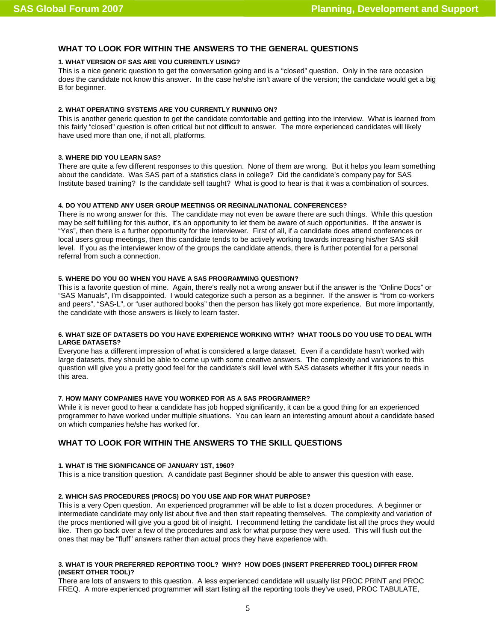# **WHAT TO LOOK FOR WITHIN THE ANSWERS TO THE GENERAL QUESTIONS**

## **1. WHAT VERSION OF SAS ARE YOU CURRENTLY USING?**

This is a nice generic question to get the conversation going and is a "closed" question. Only in the rare occasion does the candidate not know this answer. In the case he/she isn't aware of the version; the candidate would get a big B for beginner.

## **2. WHAT OPERATING SYSTEMS ARE YOU CURRENTLY RUNNING ON?**

This is another generic question to get the candidate comfortable and getting into the interview. What is learned from this fairly "closed" question is often critical but not difficult to answer. The more experienced candidates will likely have used more than one, if not all, platforms.

## **3. WHERE DID YOU LEARN SAS?**

There are quite a few different responses to this question. None of them are wrong. But it helps you learn something about the candidate. Was SAS part of a statistics class in college? Did the candidate's company pay for SAS Institute based training? Is the candidate self taught? What is good to hear is that it was a combination of sources.

## **4. DO YOU ATTEND ANY USER GROUP MEETINGS OR REGINAL/NATIONAL CONFERENCES?**

There is no wrong answer for this. The candidate may not even be aware there are such things. While this question may be self fulfilling for this author, it's an opportunity to let them be aware of such opportunities. If the answer is "Yes", then there is a further opportunity for the interviewer. First of all, if a candidate does attend conferences or local users group meetings, then this candidate tends to be actively working towards increasing his/her SAS skill level. If you as the interviewer know of the groups the candidate attends, there is further potential for a personal referral from such a connection.

## **5. WHERE DO YOU GO WHEN YOU HAVE A SAS PROGRAMMING QUESTION?**

This is a favorite question of mine. Again, there's really not a wrong answer but if the answer is the "Online Docs" or "SAS Manuals", I'm disappointed. I would categorize such a person as a beginner. If the answer is "from co-workers and peers", "SAS-L", or "user authored books" then the person has likely got more experience. But more importantly, the candidate with those answers is likely to learn faster.

## **6. WHAT SIZE OF DATASETS DO YOU HAVE EXPERIENCE WORKING WITH? WHAT TOOLS DO YOU USE TO DEAL WITH LARGE DATASETS?**

Everyone has a different impression of what is considered a large dataset. Even if a candidate hasn't worked with large datasets, they should be able to come up with some creative answers. The complexity and variations to this question will give you a pretty good feel for the candidate's skill level with SAS datasets whether it fits your needs in this area.

# **7. HOW MANY COMPANIES HAVE YOU WORKED FOR AS A SAS PROGRAMMER?**

While it is never good to hear a candidate has job hopped significantly, it can be a good thing for an experienced programmer to have worked under multiple situations. You can learn an interesting amount about a candidate based on which companies he/she has worked for.

# **WHAT TO LOOK FOR WITHIN THE ANSWERS TO THE SKILL QUESTIONS**

#### **1. WHAT IS THE SIGNIFICANCE OF JANUARY 1ST, 1960?**

This is a nice transition question. A candidate past Beginner should be able to answer this question with ease.

# **2. WHICH SAS PROCEDURES (PROCS) DO YOU USE AND FOR WHAT PURPOSE?**

This is a very Open question. An experienced programmer will be able to list a dozen procedures. A beginner or intermediate candidate may only list about five and then start repeating themselves. The complexity and variation of the procs mentioned will give you a good bit of insight. I recommend letting the candidate list all the procs they would like. Then go back over a few of the procedures and ask for what purpose they were used. This will flush out the ones that may be "fluff" answers rather than actual procs they have experience with.

## **3. WHAT IS YOUR PREFERRED REPORTING TOOL? WHY? HOW DOES (INSERT PREFERRED TOOL) DIFFER FROM (INSERT OTHER TOOL)?**

There are lots of answers to this question. A less experienced candidate will usually list PROC PRINT and PROC FREQ. A more experienced programmer will start listing all the reporting tools they've used, PROC TABULATE,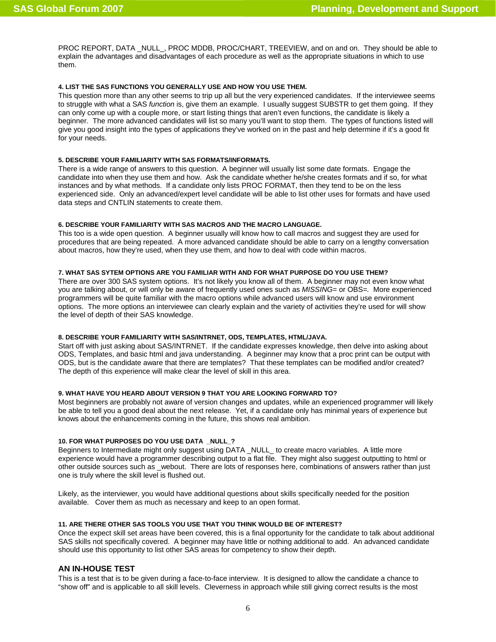PROC REPORT, DATA \_NULL\_, PROC MDDB, PROC/CHART, TREEVIEW, and on and on. They should be able to explain the advantages and disadvantages of each procedure as well as the appropriate situations in which to use them.

## **4. LIST THE SAS FUNCTIONS YOU GENERALLY USE AND HOW YOU USE THEM.**

This question more than any other seems to trip up all but the very experienced candidates. If the interviewee seems to struggle with what a SAS *function* is, give them an example. I usually suggest SUBSTR to get them going. If they can only come up with a couple more, or start listing things that aren't even functions, the candidate is likely a beginner. The more advanced candidates will list so many you'll want to stop them. The types of functions listed will give you good insight into the types of applications they've worked on in the past and help determine if it's a good fit for your needs.

## **5. DESCRIBE YOUR FAMILIARITY WITH SAS FORMATS/INFORMATS.**

There is a wide range of answers to this question. A beginner will usually list some date formats. Engage the candidate into when they use them and how. Ask the candidate whether he/she creates formats and if so, for what instances and by what methods. If a candidate only lists PROC FORMAT, then they tend to be on the less experienced side. Only an advanced/expert level candidate will be able to list other uses for formats and have used data steps and CNTLIN statements to create them.

# **6. DESCRIBE YOUR FAMILIARITY WITH SAS MACROS AND THE MACRO LANGUAGE.**

This too is a wide open question. A beginner usually will know how to call macros and suggest they are used for procedures that are being repeated. A more advanced candidate should be able to carry on a lengthy conversation about macros, how they're used, when they use them, and how to deal with code within macros.

## **7. WHAT SAS SYTEM OPTIONS ARE YOU FAMILIAR WITH AND FOR WHAT PURPOSE DO YOU USE THEM?**

There are over 300 SAS system options. It's not likely you know all of them. A beginner may not even know what you are talking about, or will only be aware of frequently used ones such as *MISSING*= or OBS*=.* More experienced programmers will be quite familiar with the macro options while advanced users will know and use environment options. The more options an interviewee can clearly explain and the variety of activities they're used for will show the level of depth of their SAS knowledge.

## **8. DESCRIBE YOUR FAMILIARITY WITH SAS/INTRNET, ODS, TEMPLATES, HTML/JAVA.**

Start off with just asking about SAS/INTRNET. If the candidate expresses knowledge, then delve into asking about ODS, Templates, and basic html and java understanding. A beginner may know that a proc print can be output with ODS, but is the candidate aware that there are templates? That these templates can be modified and/or created? The depth of this experience will make clear the level of skill in this area.

## **9. WHAT HAVE YOU HEARD ABOUT VERSION 9 THAT YOU ARE LOOKING FORWARD TO?**

Most beginners are probably not aware of version changes and updates, while an experienced programmer will likely be able to tell you a good deal about the next release. Yet, if a candidate only has minimal years of experience but knows about the enhancements coming in the future, this shows real ambition.

## **10. FOR WHAT PURPOSES DO YOU USE DATA \_NULL\_?**

Beginners to Intermediate might only suggest using DATA \_NULL\_ to create macro variables. A little more experience would have a programmer describing output to a flat file. They might also suggest outputting to html or other outside sources such as \_webout. There are lots of responses here, combinations of answers rather than just one is truly where the skill level is flushed out.

Likely, as the interviewer, you would have additional questions about skills specifically needed for the position available. Cover them as much as necessary and keep to an open format.

#### **11. ARE THERE OTHER SAS TOOLS YOU USE THAT YOU THINK WOULD BE OF INTEREST?**

Once the expect skill set areas have been covered, this is a final opportunity for the candidate to talk about additional SAS skills not specifically covered. A beginner may have little or nothing additional to add. An advanced candidate should use this opportunity to list other SAS areas for competency to show their depth.

# **AN IN-HOUSE TEST**

This is a test that is to be given during a face-to-face interview. It is designed to allow the candidate a chance to "show off" and is applicable to all skill levels. Cleverness in approach while still giving correct results is the most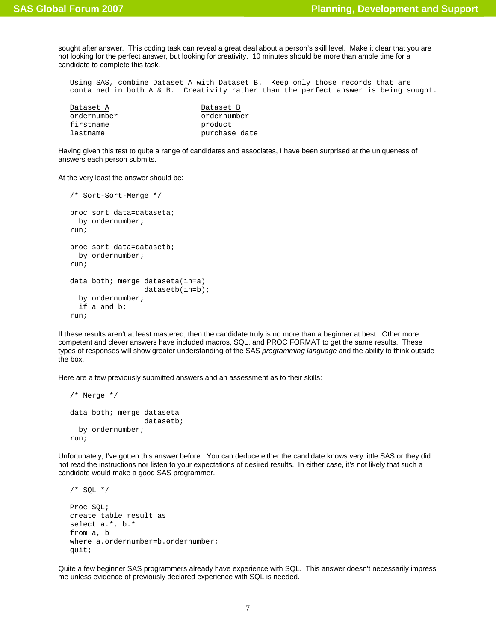sought after answer. This coding task can reveal a great deal about a person's skill level. Make it clear that you are not looking for the perfect answer, but looking for creativity. 10 minutes should be more than ample time for a candidate to complete this task.

Using SAS, combine Dataset A with Dataset B. Keep only those records that are contained in both A & B. Creativity rather than the perfect answer is being sought.

| Dataset A   | Dataset B     |
|-------------|---------------|
| ordernumber | ordernumber   |
| firstname   | product       |
| lastname    | purchase date |

Having given this test to quite a range of candidates and associates, I have been surprised at the uniqueness of answers each person submits.

At the very least the answer should be:

```
/* Sort-Sort-Merge */ 
proc sort data=dataseta; 
  by ordernumber;
run; 
proc sort data=datasetb; 
   by ordernumber; 
run; 
data both; merge dataseta(in=a) 
                   datasetb(in=b); 
   by ordernumber; 
   if a and b; 
run;
```
If these results aren't at least mastered, then the candidate truly is no more than a beginner at best. Other more competent and clever answers have included macros, SQL, and PROC FORMAT to get the same results. These types of responses will show greater understanding of the SAS *programming language* and the ability to think outside the box.

Here are a few previously submitted answers and an assessment as to their skills:

```
/* Merge */ 
data both; merge dataseta 
                    datasetb; 
   by ordernumber; 
run;
```
Unfortunately, I've gotten this answer before. You can deduce either the candidate knows very little SAS or they did not read the instructions nor listen to your expectations of desired results. In either case, it's not likely that such a candidate would make a good SAS programmer.

```
/* SQL */ 
Proc SQL; 
create table result as 
select a.*, b.* 
from a, b 
where a.ordernumber=b.ordernumber;
quit;
```
Quite a few beginner SAS programmers already have experience with SQL. This answer doesn't necessarily impress me unless evidence of previously declared experience with SQL is needed.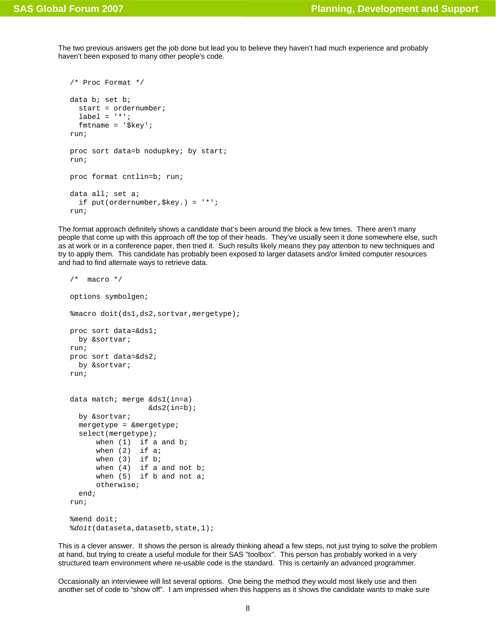The two previous answers get the job done but lead you to believe they haven't had much experience and probably haven't been exposed to many other people's code.

```
/* Proc Format */ 
data b; set b; 
   start = ordernumber; 
  label = '*';
   fmtname = '$key'; 
run; 
proc sort data=b nodupkey; by start;
run; 
proc format cntlin=b; run; 
data all; set a; 
   if put(ordernumber,$key.) = '*'; 
run;
```
The format approach definitely shows a candidate that's been around the block a few times. There aren't many people that come up with this approach off the top of their heads. They've usually seen it done somewhere else, such as at work or in a conference paper, then tried it. Such results likely means they pay attention to new techniques and try to apply them. This candidate has probably been exposed to larger datasets and/or limited computer resources and had to find alternate ways to retrieve data.

```
/* macro */options symbolgen; 
%macro doit(ds1,ds2,sortvar,mergetype); 
proc sort data=&ds1; 
  by &sortvar; 
run; 
proc sort data=&ds2; 
  by &sortvar; 
run; 
data match; merge &ds1(in=a) 
                   \&ds2(int=b); by &sortvar; 
   mergetype = &mergetype; 
   select(mergetype); 
      when (1) if a and b;
      when (2) if a;
      when (3) if b;
      when (4) if a and not b;
      when (5) if b and not a;
       otherwise; 
   end; 
run; 
%mend doit; 
%doit(dataseta,datasetb,state,1);
```
This is a clever answer. It shows the person is already thinking ahead a few steps, not just trying to solve the problem at hand, but trying to create a useful module for their SAS "toolbox". This person has probably worked in a very structured team environment where re-usable code is the standard. This is certainly an advanced programmer.

Occasionally an interviewee will list several options. One being the method they would most likely use and then another set of code to "show off". I am impressed when this happens as it shows the candidate wants to make sure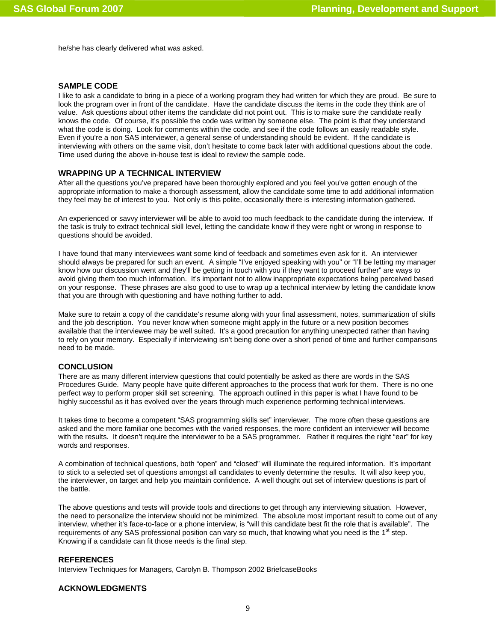he/she has clearly delivered what was asked.

# **SAMPLE CODE**

I like to ask a candidate to bring in a piece of a working program they had written for which they are proud. Be sure to look the program over in front of the candidate. Have the candidate discuss the items in the code they think are of value. Ask questions about other items the candidate did not point out. This is to make sure the candidate really knows the code. Of course, it's possible the code was written by someone else. The point is that they understand what the code is doing. Look for comments within the code, and see if the code follows an easily readable style. Even if you're a non SAS interviewer, a general sense of understanding should be evident. If the candidate is interviewing with others on the same visit, don't hesitate to come back later with additional questions about the code. Time used during the above in-house test is ideal to review the sample code.

# **WRAPPING UP A TECHNICAL INTERVIEW**

After all the questions you've prepared have been thoroughly explored and you feel you've gotten enough of the appropriate information to make a thorough assessment, allow the candidate some time to add additional information they feel may be of interest to you. Not only is this polite, occasionally there is interesting information gathered.

An experienced or savvy interviewer will be able to avoid too much feedback to the candidate during the interview. If the task is truly to extract technical skill level, letting the candidate know if they were right or wrong in response to questions should be avoided.

I have found that many interviewees want some kind of feedback and sometimes even ask for it. An interviewer should always be prepared for such an event. A simple "I've enjoyed speaking with you" or "I'll be letting my manager know how our discussion went and they'll be getting in touch with you if they want to proceed further" are ways to avoid giving them too much information. It's important not to allow inappropriate expectations being perceived based on your response. These phrases are also good to use to wrap up a technical interview by letting the candidate know that you are through with questioning and have nothing further to add.

Make sure to retain a copy of the candidate's resume along with your final assessment, notes, summarization of skills and the job description. You never know when someone might apply in the future or a new position becomes available that the interviewee may be well suited. It's a good precaution for anything unexpected rather than having to rely on your memory. Especially if interviewing isn't being done over a short period of time and further comparisons need to be made.

# **CONCLUSION**

There are as many different interview questions that could potentially be asked as there are words in the SAS Procedures Guide. Many people have quite different approaches to the process that work for them. There is no one perfect way to perform proper skill set screening. The approach outlined in this paper is what I have found to be highly successful as it has evolved over the years through much experience performing technical interviews.

It takes time to become a competent "SAS programming skills set" interviewer. The more often these questions are asked and the more familiar one becomes with the varied responses, the more confident an interviewer will become with the results. It doesn't require the interviewer to be a SAS programmer. Rather it requires the right "ear" for key words and responses.

A combination of technical questions, both "open" and "closed" will illuminate the required information. It's important to stick to a selected set of questions amongst all candidates to evenly determine the results. It will also keep you, the interviewer, on target and help you maintain confidence. A well thought out set of interview questions is part of the battle.

The above questions and tests will provide tools and directions to get through any interviewing situation. However, the need to personalize the interview should not be minimized. The absolute most important result to come out of any interview, whether it's face-to-face or a phone interview, is "will this candidate best fit the role that is available". The requirements of any SAS professional position can vary so much, that knowing what you need is the 1<sup>st</sup> step. Knowing if a candidate can fit those needs is the final step.

# **REFERENCES**

Interview Techniques for Managers, Carolyn B. Thompson 2002 BriefcaseBooks

# **ACKNOWLEDGMENTS**